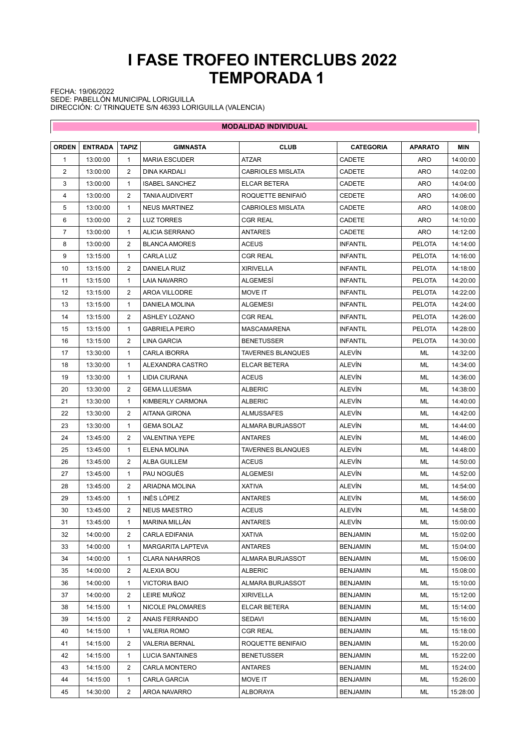## **I FASE TROFEO INTERCLUBS 2022 TEMPORADA 1**

 $\overline{\phantom{a}}$ 

FECHA: 19/06/2022 SEDE: PABELLÓN MUNICIPAL LORIGUILLA DIRECCIÓN: C/ TRINQUETE S/N 46393 LORIGUILLA (VALENCIA)

 $\overline{\mathbb{R}^n}$ 

| <b>MODALIDAD INDIVIDUAL</b> |                |                |                          |                          |                  |                |            |  |
|-----------------------------|----------------|----------------|--------------------------|--------------------------|------------------|----------------|------------|--|
| <b>ORDEN</b>                | <b>ENTRADA</b> | <b>TAPIZ</b>   | <b>GIMNASTA</b>          | <b>CLUB</b>              | <b>CATEGORIA</b> | <b>APARATO</b> | <b>MIN</b> |  |
| 1                           | 13:00:00       | 1              | <b>MARIA ESCUDER</b>     | ATZAR                    | CADETE           | <b>ARO</b>     | 14:00:00   |  |
| 2                           | 13:00:00       | 2              | <b>DINA KARDALI</b>      | <b>CABRIOLES MISLATA</b> | CADETE           | ARO            | 14:02:00   |  |
| 3                           | 13:00:00       | 1              | <b>ISABEL SANCHEZ</b>    | ELCAR BETERA             | CADETE           | <b>ARO</b>     | 14:04:00   |  |
| 4                           | 13:00:00       | 2              | <b>TANIA AUDIVERT</b>    | ROQUETTE BENIFAIO        | <b>CEDETE</b>    | ARO            | 14:06:00   |  |
| 5                           | 13:00:00       | 1              | <b>NEUS MARTINEZ</b>     | <b>CABRIOLES MISLATA</b> | <b>CADETE</b>    | ARO            | 14:08:00   |  |
| 6                           | 13:00:00       | 2              | <b>LUZ TORRES</b>        | <b>CGR REAL</b>          | CADETE           | ARO            | 14:10:00   |  |
| 7                           | 13:00:00       | 1              | <b>ALICIA SERRANO</b>    | <b>ANTARES</b>           | CADETE           | ARO            | 14:12:00   |  |
| 8                           | 13:00:00       | 2              | <b>BLANCA AMORES</b>     | <b>ACEUS</b>             | <b>INFANTIL</b>  | <b>PELOTA</b>  | 14:14:00   |  |
| 9                           | 13:15:00       | 1              | CARLA LUZ                | <b>CGR REAL</b>          | <b>INFANTIL</b>  | <b>PELOTA</b>  | 14:16:00   |  |
| 10                          | 13:15:00       | 2              | DANIELA RUIZ             | <b>XIRIVELLA</b>         | <b>INFANTIL</b>  | <b>PELOTA</b>  | 14:18:00   |  |
| 11                          | 13:15:00       | 1              | LAIA NAVARRO             | ALGEMESI                 | <b>INFANTIL</b>  | <b>PELOTA</b>  | 14:20:00   |  |
| 12                          | 13:15:00       | 2              | AROA VILLODRE            | <b>MOVE IT</b>           | <b>INFANTIL</b>  | <b>PELOTA</b>  | 14:22:00   |  |
| 13                          | 13:15:00       | 1              | <b>DANIELA MOLINA</b>    | <b>ALGEMESI</b>          | <b>INFANTIL</b>  | <b>PELOTA</b>  | 14:24:00   |  |
| 14                          | 13:15:00       | 2              | <b>ASHLEY LOZANO</b>     | <b>CGR REAL</b>          | <b>INFANTIL</b>  | <b>PELOTA</b>  | 14:26:00   |  |
| 15                          | 13:15:00       | 1              | <b>GABRIELA PEIRO</b>    | <b>MASCAMARENA</b>       | <b>INFANTIL</b>  | PELOTA         | 14:28:00   |  |
| 16                          | 13:15:00       | 2              | LINA GARCIA              | <b>BENETUSSER</b>        | <b>INFANTIL</b>  | PELOTA         | 14:30:00   |  |
| 17                          | 13:30:00       | $\mathbf{1}$   | <b>CARLA IBORRA</b>      | <b>TAVERNES BLANQUES</b> | ALEVIN           | ML             | 14:32:00   |  |
| 18                          | 13:30:00       | 1              | ALEXANDRA CASTRO         | ELCAR BETERA             | ALEVIN           | ML             | 14:34:00   |  |
| 19                          | 13:30:00       | 1              | LIDIA CIURANA            | <b>ACEUS</b>             | ALEVIN           | ML             | 14:36:00   |  |
| 20                          | 13:30:00       | 2              | <b>GEMA LLUESMA</b>      | <b>ALBERIC</b>           | ALEVÍN           | ML             | 14:38:00   |  |
| 21                          | 13:30:00       | $\mathbf{1}$   | <b>KIMBERLY CARMONA</b>  | <b>ALBERIC</b>           | ALEVÍN           | ML             | 14:40:00   |  |
| 22                          | 13:30:00       | 2              | AITANA GIRONA            | <b>ALMUSSAFES</b>        | ALEVÍN           | ML             | 14:42:00   |  |
| 23                          | 13:30:00       | 1              | <b>GEMA SOLAZ</b>        | ALMARA BURJASSOT         | ALEVIN           | ML             | 14:44:00   |  |
| 24                          | 13:45:00       | 2              | <b>VALENTINA YEPE</b>    | <b>ANTARES</b>           | ALEVÍN           | ML             | 14:46:00   |  |
| 25                          | 13:45:00       | 1              | ELENA MOLINA             | <b>TAVERNES BLANQUES</b> | ALEVÍN           | ML             | 14:48:00   |  |
| 26                          | 13:45:00       | 2              | ALBA GUILLEM             | <b>ACEUS</b>             | ALEVÍN           | ML             | 14:50:00   |  |
| 27                          | 13:45:00       | 1              | PAU NOGUÉS               | <b>ALGEMESI</b>          | ALEVÍN           | ML             | 14:52:00   |  |
| 28                          | 13:45:00       | 2              | ARIADNA MOLINA           | <b>XATIVA</b>            | ALEVÍN           | ML             | 14:54:00   |  |
| 29                          | 13:45:00       | $\mathbf{1}$   | INÉS LÓPEZ               | <b>ANTARES</b>           | ALEVÍN           | ML             | 14:56:00   |  |
| 30                          | 13:45:00       | $\overline{2}$ | <b>NEUS MAESTRO</b>      | <b>ACEUS</b>             | ALEVÍN           | ML             | 14:58:00   |  |
| 31                          | 13:45:00       | 1              | <b>MARINA MILLAN</b>     | ANTARES                  | ALEVIN           | ML             | 15:00:00   |  |
| 32                          | 14:00:00       | 2              | <b>CARLA EDIFANIA</b>    | <b>XATIVA</b>            | <b>BENJAMIN</b>  | ML             | 15:02:00   |  |
| 33                          | 14:00:00       | 1              | <b>MARGARITA LAPTEVA</b> | ANTARES                  | <b>BENJAMIN</b>  | ML             | 15:04:00   |  |
| 34                          | 14:00:00       | 1              | <b>CLARA NAHARROS</b>    | ALMARA BURJASSOT         | <b>BENJAMIN</b>  | ML             | 15:06:00   |  |
| 35                          | 14:00:00       | 2              | ALEXIA BOU               | <b>ALBERIC</b>           | <b>BENJAMIN</b>  | ML             | 15:08:00   |  |
| 36                          | 14:00:00       | 1              | <b>VICTORIA BAIO</b>     | ALMARA BURJASSOT         | <b>BENJAMIN</b>  | ML             | 15:10:00   |  |
| 37                          | 14:00:00       | 2              | LEIRE MUÑOZ              | XIRIVELLA                | <b>BENJAMIN</b>  | ML             | 15:12:00   |  |
| 38                          | 14:15:00       | 1              | NICOLE PALOMARES         | ELCAR BETERA             | BENJAMIN         | ML             | 15:14:00   |  |
| 39                          | 14:15:00       | 2              | ANAIS FERRANDO           | SEDAVI                   | <b>BENJAMIN</b>  | ML             | 15:16:00   |  |
| 40                          | 14:15:00       | 1              | <b>VALERIA ROMO</b>      | <b>CGR REAL</b>          | <b>BENJAMIN</b>  | ML             | 15:18:00   |  |
| 41                          | 14:15:00       | 2              | <b>VALERIA BERNAL</b>    | ROQUETTE BENIFAIO        | BENJAMIN         | ML             | 15:20:00   |  |
| 42                          | 14:15:00       | 1              | LUCIA SANTAINES          | <b>BENETUSSER</b>        | BENJAMIN         | ML             | 15:22:00   |  |
| 43                          | 14:15:00       | 2              | CARLA MONTERO            | ANTARES                  | <b>BENJAMIN</b>  | ML             | 15:24:00   |  |
| 44                          | 14:15:00       | 1              | CARLA GARCIA             | MOVE IT                  | <b>BENJAMIN</b>  | ML             | 15:26:00   |  |
| 45                          | 14:30:00       | 2              | AROA NAVARRO             | ALBORAYA                 | BENJAMIN         | ML             | 15:28:00   |  |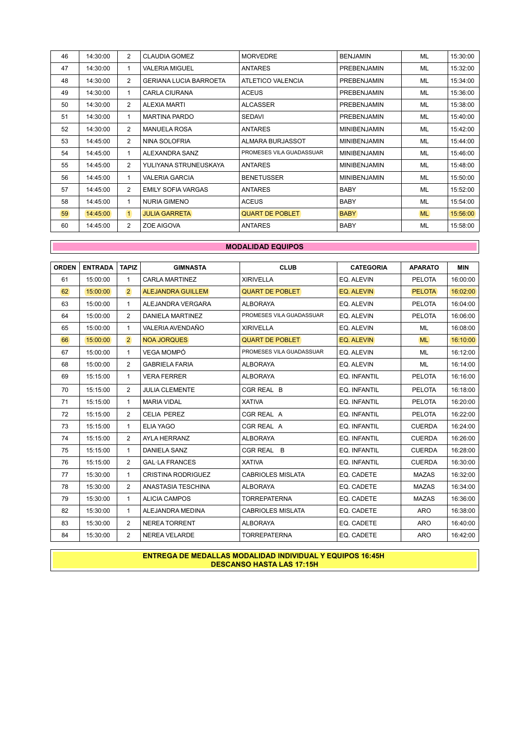| 46 | 14:30:00 | $\overline{2}$ | <b>CLAUDIA GOMEZ</b>          | <b>MORVEDRE</b>          | <b>BENJAMIN</b>     | <b>ML</b> | 15:30:00 |
|----|----------|----------------|-------------------------------|--------------------------|---------------------|-----------|----------|
| 47 | 14:30:00 | 1              | <b>VALERIA MIGUEL</b>         | <b>ANTARES</b>           | PREBENJAMIN         | <b>ML</b> | 15:32:00 |
| 48 | 14:30:00 | $\overline{2}$ | <b>GERIANA LUCIA BARROETA</b> | ATLETICO VALENCIA        | <b>PREBENJAMIN</b>  | <b>ML</b> | 15:34:00 |
| 49 | 14:30:00 | 1              | CARLA CIURANA                 | <b>ACEUS</b>             | PREBENJAMIN         | <b>ML</b> | 15:36:00 |
| 50 | 14:30:00 | $\overline{2}$ | <b>ALEXIA MARTI</b>           | <b>ALCASSER</b>          | <b>PREBENJAMIN</b>  | ML        | 15:38:00 |
| 51 | 14:30:00 | 1              | <b>MARTINA PARDO</b>          | <b>SEDAVI</b>            | <b>PREBENJAMIN</b>  | <b>ML</b> | 15:40:00 |
| 52 | 14:30:00 | 2              | <b>MANUELA ROSA</b>           | <b>ANTARES</b>           | <b>MINIBENJAMIN</b> | ML        | 15:42:00 |
| 53 | 14:45:00 | $\overline{2}$ | NINA SOLOFRIA                 | ALMARA BURJASSOT         | <b>MINIBENJAMIN</b> | <b>ML</b> | 15:44:00 |
| 54 | 14:45:00 | 1              | ALEXANDRA SANZ                | PROMESES VILA GUADASSUAR | <b>MINIBENJAMIN</b> | ML        | 15:46:00 |
| 55 | 14:45:00 | 2              | YULIYANA STRUNEUSKAYA         | <b>ANTARES</b>           | <b>MINIBENJAMIN</b> | <b>ML</b> | 15:48:00 |
| 56 | 14:45:00 | $\mathbf{1}$   | <b>VALERIA GARCIA</b>         | <b>BENETUSSER</b>        | <b>MINIBENJAMIN</b> | <b>ML</b> | 15:50:00 |
| 57 | 14:45:00 | $\overline{2}$ | <b>EMILY SOFIA VARGAS</b>     | <b>ANTARES</b>           | <b>BABY</b>         | <b>ML</b> | 15:52:00 |
| 58 | 14:45:00 | 1              | <b>NURIA GIMENO</b>           | <b>ACEUS</b>             | <b>BABY</b>         | <b>ML</b> | 15:54:00 |
| 59 | 14:45:00 | $\vert$ 1      | <b>JULIA GARRETA</b>          | <b>QUART DE POBLET</b>   | <b>BABY</b>         | <b>ML</b> | 15:56:00 |
| 60 | 14:45:00 | $\overline{2}$ | ZOE AIGOVA                    | <b>ANTARES</b>           | <b>BABY</b>         | <b>ML</b> | 15:58:00 |

## **MODALIDAD EQUIPOS**

| <b>ORDEN</b> | <b>ENTRADA</b> | <b>TAPIZ</b>   | <b>GIMNASTA</b>           | <b>CLUB</b>              | <b>CATEGORIA</b> | <b>APARATO</b> | <b>MIN</b> |
|--------------|----------------|----------------|---------------------------|--------------------------|------------------|----------------|------------|
| 61           | 15:00:00       | 1              | <b>CARLA MARTINEZ</b>     | <b>XIRIVELLA</b>         | EQ. ALEVIN       | <b>PELOTA</b>  | 16:00:00   |
| 62           | 15:00:00       | $\overline{2}$ | <b>ALEJANDRA GUILLEM</b>  | <b>QUART DE POBLET</b>   | EQ. ALEVIN       | <b>PELOTA</b>  | 16:02:00   |
| 63           | 15:00:00       | 1              | ALEJANDRA VERGARA         | <b>ALBORAYA</b>          | EQ. ALEVIN       | <b>PELOTA</b>  | 16:04:00   |
| 64           | 15:00:00       | $\overline{2}$ | DANIELA MARTINEZ          | PROMESES VILA GUADASSUAR | EQ. ALEVIN       | <b>PELOTA</b>  | 16:06:00   |
| 65           | 15:00:00       | $\mathbf{1}$   | VALERIA AVENDAÑO          | <b>XIRIVELLA</b>         | EQ. ALEVIN       | ML             | 16:08:00   |
| 66           | 15:00:00       | $\overline{2}$ | <b>NOA JORQUES</b>        | <b>QUART DE POBLET</b>   | EQ. ALEVIN       | <b>ML</b>      | 16:10:00   |
| 67           | 15:00:00       | $\mathbf{1}$   | VEGA MOMPÓ                | PROMESES VILA GUADASSUAR | EQ. ALEVIN       | ML             | 16:12:00   |
| 68           | 15:00:00       | 2              | <b>GABRIELA FARIA</b>     | <b>ALBORAYA</b>          | EQ. ALEVIN       | <b>ML</b>      | 16:14:00   |
| 69           | 15:15:00       | $\mathbf{1}$   | <b>VERA FERRER</b>        | <b>ALBORAYA</b>          | EQ. INFANTIL     | <b>PELOTA</b>  | 16:16:00   |
| 70           | 15:15:00       | $\overline{2}$ | <b>JULIA CLEMENTE</b>     | CGR REAL B               | EQ. INFANTIL     | <b>PELOTA</b>  | 16:18:00   |
| 71           | 15:15:00       | 1              | <b>MARIA VIDAL</b>        | <b>XATIVA</b>            | EQ. INFANTIL     | <b>PELOTA</b>  | 16:20:00   |
| 72           | 15:15:00       | $\overline{2}$ | <b>CELIA PEREZ</b>        | CGR REAL A               | EQ. INFANTIL     | <b>PELOTA</b>  | 16:22:00   |
| 73           | 15:15:00       | $\mathbf{1}$   | <b>ELIA YAGO</b>          | CGR REAL A               | EQ. INFANTIL     | <b>CUERDA</b>  | 16:24:00   |
| 74           | 15:15:00       | 2              | AYLA HERRANZ              | <b>ALBORAYA</b>          | EQ. INFANTIL     | <b>CUERDA</b>  | 16:26:00   |
| 75           | 15:15:00       | $\mathbf{1}$   | <b>DANIELA SANZ</b>       | CGR REAL B               | EQ. INFANTIL     | <b>CUERDA</b>  | 16:28:00   |
| 76           | 15:15:00       | $\overline{2}$ | <b>GAL·LA FRANCES</b>     | <b>XATIVA</b>            | EQ. INFANTIL     | <b>CUERDA</b>  | 16:30:00   |
| 77           | 15:30:00       | $\mathbf{1}$   | <b>CRISTINA RODRIGUEZ</b> | <b>CABRIOLES MISLATA</b> | EQ. CADETE       | <b>MAZAS</b>   | 16:32:00   |
| 78           | 15:30:00       | $\overline{2}$ | ANASTASIA TESCHINA        | <b>ALBORAYA</b>          | EQ. CADETE       | <b>MAZAS</b>   | 16:34:00   |
| 79           | 15:30:00       | 1              | <b>ALICIA CAMPOS</b>      | <b>TORREPATERNA</b>      | EQ. CADETE       | <b>MAZAS</b>   | 16:36:00   |
| 82           | 15:30:00       | $\mathbf{1}$   | ALEJANDRA MEDINA          | <b>CABRIOLES MISLATA</b> | EQ. CADETE       | <b>ARO</b>     | 16:38:00   |
| 83           | 15:30:00       | 2              | <b>NEREA TORRENT</b>      | <b>ALBORAYA</b>          | EQ. CADETE       | <b>ARO</b>     | 16:40:00   |
| 84           | 15:30:00       | $\overline{2}$ | <b>NEREA VELARDE</b>      | <b>TORREPATERNA</b>      | EQ. CADETE       | <b>ARO</b>     | 16:42:00   |

**ENTREGA DE MEDALLAS MODALIDAD INDIVIDUAL Y EQUIPOS 16:45H DESCANSO HASTA LAS 17:15H**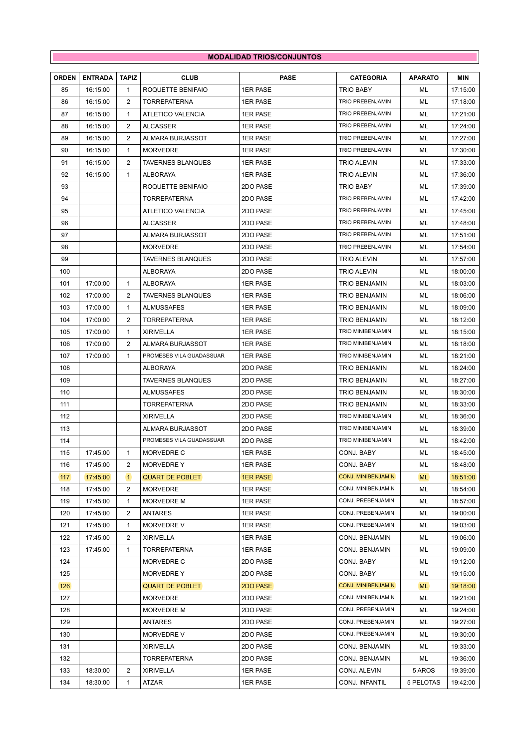## **MODALIDAD TRIOS/CONJUNTOS**

| <b>ORDEN</b> | <b>ENTRADA</b> | <b>TAPIZ</b>   | <b>CLUB</b>              | <b>PASE</b>     | <b>CATEGORIA</b>          | <b>APARATO</b> | <b>MIN</b> |
|--------------|----------------|----------------|--------------------------|-----------------|---------------------------|----------------|------------|
| 85           | 16:15:00       | 1              | ROQUETTE BENIFAIO        | <b>1ER PASE</b> | TRIO BABY                 | ML             | 17:15:00   |
| 86           | 16:15:00       | $\overline{2}$ | <b>TORREPATERNA</b>      | <b>1ER PASE</b> | <b>TRIO PREBENJAMIN</b>   | ML             | 17:18:00   |
| 87           | 16:15:00       | $\mathbf{1}$   | ATLETICO VALENCIA        | <b>1ER PASE</b> | <b>TRIO PREBENJAMIN</b>   | ML             | 17:21:00   |
| 88           | 16:15:00       | 2              | ALCASSER                 | <b>1ER PASE</b> | <b>TRIO PREBENJAMIN</b>   | ML             | 17:24:00   |
| 89           | 16:15:00       | 2              | ALMARA BURJASSOT         | <b>1ER PASE</b> | <b>TRIO PREBENJAMIN</b>   | ML             | 17:27:00   |
| 90           | 16:15:00       | 1              | <b>MORVEDRE</b>          | <b>1ER PASE</b> | <b>TRIO PREBENJAMIN</b>   | ML             | 17:30:00   |
| 91           | 16:15:00       | 2              | <b>TAVERNES BLANQUES</b> | <b>1ER PASE</b> | TRIO ALEVIN               | ML             | 17:33:00   |
| 92           | 16:15:00       | 1              | <b>ALBORAYA</b>          | <b>1ER PASE</b> | TRIO ALEVIN               | ML             | 17:36:00   |
| 93           |                |                | ROQUETTE BENIFAIO        | 2DO PASE        | TRIO BABY                 | ML             | 17:39:00   |
| 94           |                |                | <b>TORREPATERNA</b>      | 2DO PASE        | <b>TRIO PREBENJAMIN</b>   | ML             | 17:42:00   |
| 95           |                |                | ATLETICO VALENCIA        | 2DO PASE        | <b>TRIO PREBENJAMIN</b>   | ML             | 17:45:00   |
| 96           |                |                | ALCASSER                 | 2DO PASE        | <b>TRIO PREBENJAMIN</b>   | ML             | 17:48:00   |
| 97           |                |                | ALMARA BURJASSOT         | 2DO PASE        | <b>TRIO PREBENJAMIN</b>   | ML             | 17:51:00   |
| 98           |                |                | <b>MORVEDRE</b>          | 2DO PASE        | TRIO PREBENJAMIN          | ML             | 17:54:00   |
| 99           |                |                | <b>TAVERNES BLANQUES</b> | 2DO PASE        | TRIO ALEVIN               | ML             | 17:57:00   |
| 100          |                |                | ALBORAYA                 | 2DO PASE        | TRIO ALEVIN               | ML             | 18:00:00   |
| 101          | 17:00:00       | 1              | ALBORAYA                 | <b>1ER PASE</b> | TRIO BENJAMIN             | ML             | 18:03:00   |
| 102          | 17:00:00       | 2              | <b>TAVERNES BLANQUES</b> | <b>1ER PASE</b> | <b>TRIO BENJAMIN</b>      | ML             | 18:06:00   |
| 103          | 17:00:00       | $\mathbf{1}$   | <b>ALMUSSAFES</b>        | <b>1ER PASE</b> | <b>TRIO BENJAMIN</b>      | ML             | 18:09:00   |
| 104          | 17:00:00       | 2              | <b>TORREPATERNA</b>      | <b>1ER PASE</b> | TRIO BENJAMIN             | ML             | 18:12:00   |
| 105          | 17:00:00       | 1              | <b>XIRIVELLA</b>         | <b>1ER PASE</b> | TRIO MINIBENJAMIN         | ML             | 18:15:00   |
| 106          | 17:00:00       | $\overline{2}$ | ALMARA BURJASSOT         | <b>1ER PASE</b> | TRIO MINIBENJAMIN         | ML             | 18:18:00   |
| 107          | 17:00:00       | $\mathbf{1}$   | PROMESES VILA GUADASSUAR | <b>1ER PASE</b> | TRIO MINIBENJAMIN         | ML             | 18:21:00   |
| 108          |                |                | ALBORAYA                 | 2DO PASE        | TRIO BENJAMIN             | ML             | 18:24:00   |
| 109          |                |                | <b>TAVERNES BLANQUES</b> | 2DO PASE        | <b>TRIO BENJAMIN</b>      | ML             | 18:27:00   |
| 110          |                |                | <b>ALMUSSAFES</b>        | 2DO PASE        | <b>TRIO BENJAMIN</b>      | ML             | 18:30:00   |
| 111          |                |                | <b>TORREPATERNA</b>      | 2DO PASE        | TRIO BENJAMIN             | ML             | 18:33:00   |
| 112          |                |                | <b>XIRIVELLA</b>         | 2DO PASE        | TRIO MINIBENJAMIN         | ML             | 18:36:00   |
| 113          |                |                | ALMARA BURJASSOT         | 2DO PASE        | TRIO MINIBENJAMIN         | ML             | 18:39:00   |
| 114          |                |                | PROMESES VILA GUADASSUAR | 2DO PASE        | TRIO MINIBENJAMIN         | ML             | 18:42:00   |
| 115          | 17:45:00       | 1              | MORVEDRE C               | <b>1ER PASE</b> | CONJ. BABY                | ML             | 18:45:00   |
| 116          | 17:45:00       | 2              | MORVEDRE Y               | <b>1ER PASE</b> | CONJ. BABY                | ML             | 18:48:00   |
| 117          | 17:45:00       | $\vert$ 1      | <b>QUART DE POBLET</b>   | <b>1ER PASE</b> | <b>CONJ. MINIBENJAMIN</b> | <b>ML</b>      | 18:51:00   |
| 118          | 17:45:00       | 2              | MORVEDRE                 | <b>1ER PASE</b> | CONJ. MINIBENJAMIN        | ML             | 18:54:00   |
| 119          | 17:45:00       | 1              | MORVEDRE M               | 1ER PASE        | CONJ. PREBENJAMIN         | ML             | 18:57:00   |
| 120          | 17:45:00       | 2              | <b>ANTARES</b>           | <b>1ER PASE</b> | CONJ. PREBENJAMIN         | ML             | 19:00:00   |
| 121          | 17:45:00       | 1              | MORVEDRE V               | <b>1ER PASE</b> | CONJ. PREBENJAMIN         | ML             | 19:03:00   |
| 122          | 17:45:00       | 2              | <b>XIRIVELLA</b>         | <b>1ER PASE</b> | CONJ. BENJAMIN            | ML             | 19:06:00   |
| 123          | 17:45:00       | 1              | <b>TORREPATERNA</b>      | 1ER PASE        | CONJ. BENJAMIN            | ML             | 19:09:00   |
| 124          |                |                | MORVEDRE C               | 2DO PASE        | CONJ. BABY                | ML             | 19:12:00   |
| 125          |                |                | <b>MORVEDRE Y</b>        | 2DO PASE        | CONJ. BABY                | ML             | 19:15:00   |
| 126          |                |                | <b>QUART DE POBLET</b>   | 2DO PASE        | <b>CONJ. MINIBENJAMIN</b> | <b>ML</b>      | 19:18:00   |
| 127          |                |                | MORVEDRE                 | 2DO PASE        | CONJ. MINIBENJAMIN        | ML             | 19:21:00   |
| 128          |                |                | MORVEDRE M               | 2DO PASE        | CONJ. PREBENJAMIN         | ML             | 19:24:00   |
| 129          |                |                | ANTARES                  | 2DO PASE        | CONJ. PREBENJAMIN         | ML             | 19:27:00   |
| 130          |                |                | MORVEDRE V               | 2DO PASE        | CONJ. PREBENJAMIN         | ML             | 19:30:00   |
| 131          |                |                | <b>XIRIVELLA</b>         | 2DO PASE        | CONJ. BENJAMIN            | ML             | 19:33:00   |
| 132          |                |                | <b>TORREPATERNA</b>      | 2DO PASE        | CONJ. BENJAMIN            | ML             | 19:36:00   |
| 133          | 18:30:00       | 2              | <b>XIRIVELLA</b>         | <b>1ER PASE</b> | CONJ. ALEVIN              | 5 AROS         | 19:39:00   |
| 134          | 18:30:00       | 1              | ATZAR                    | <b>1ER PASE</b> | CONJ. INFANTIL            | 5 PELOTAS      | 19:42:00   |